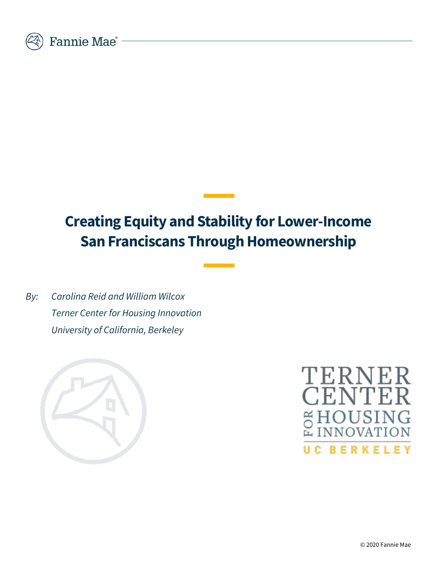

# **Creating Equity and Stability for Lower-Income San Franciscans Through Homeownership**

*By: Carolina Reid and William Wilcox Terner Center for Housing Innovation University of California, Berkeley*



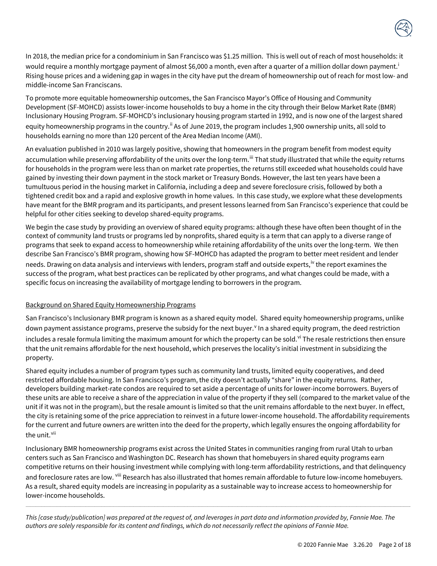

In 2018, the median price for a condominium in San Francisco was \$1.25 million. This is well out of reach of most households: it would requ[i](#page-16-0)re a monthly mortgage payment of almost \$6,000 a month, even after a quarter of a million dollar down payment.<sup>i</sup> Rising house prices and a widening gap in wages in the city have put the dream of homeownership out of reach for most low- and middle-income San Franciscans.

To promote more equitable homeownership outcomes, the San Francisco Mayor's Office of Housing and Community Development (SF-MOHCD) assists lower-income households to buy a home in the city through their Below Market Rate (BMR) Inclusionary Housing Program. SF-MOHCD's inclusionary housing program started in 1992, and is now one of the largest shared equity homeownership programs in the country.<sup>[ii](#page-16-1)</sup> As of June 2019, the program includes 1,900 ownership units, all sold to households earning no more than 120 percent of the Area Median Income (AMI).

An evaluation published in 2010 was largely positive, showing that homeowners in the program benefit from modest equity accumulation while preserving affordability of the units over the long-term.<sup>[iii](#page-16-2)</sup> That study illustrated that while the equity returns for households in the program were less than on market rate properties, the returns still exceeded what households could have gained by investing their down payment in the stock market or Treasury Bonds. However, the last ten years have been a tumultuous period in the housing market in California, including a deep and severe foreclosure crisis, followed by both a tightened credit box and a rapid and explosive growth in home values. In this case study, we explore what these developments have meant for the BMR program and its participants, and present lessons learned from San Francisco's experience that could be helpful for other cities seeking to develop shared-equity programs.

We begin the case study by providing an overview of shared equity programs: although these have often been thought of in the context of community land trusts or programs led by nonprofits, shared equity is a term that can apply to a diverse range of programs that seek to expand access to homeownership while retaining affordability of the units over the long-term. We then describe San Francisco's BMR program, showing how SF-MOHCD has adapted the program to better meet resident and lender needs. Drawing on data analysis and interviews with lenders, program staff and outside experts,<sup>[iv](#page-16-3)</sup> the report examines the success of the program, what best practices can be replicated by other programs, and what changes could be made, with a specific focus on increasing the availability of mortgage lending to borrowers in the program.

#### Background on Shared Equity Homeownership Programs

San Francisco's Inclusionary BMR program is known as a shared equity model. Shared equity homeownership programs, unlike down payment assistance programs, preser[v](#page-16-4)e the subsidy for the next buyer. In a shared equity program, the deed restriction includes a resale formula limiting the maximum amount for which the property can be sold. V<sup>i</sup> The resale restrictions then ensure that the unit remains affordable for the next household, which preserves the locality's initial investment in subsidizing the property.

Shared equity includes a number of program types such as community land trusts, limited equity cooperatives, and deed restricted affordable housing. In San Francisco's program, the city doesn't actually "share" in the equity returns. Rather, developers building market-rate condos are required to set aside a percentage of units for lower-income borrowers. Buyers of these units are able to receive a share of the appreciation in value of the property if they sell (compared to the market value of the unit if it was not in the program), but the resale amount is limited so that the unit remains affordable to the next buyer. In effect, the city is retaining some of the price appreciation to reinvest in a future lower-income household. The affordability requirements for the current and future owners are written into the deed for the property, which legally ensures the ongoing affordability for the unit.<sup>[vii](#page-16-6)</sup>

Inclusionary BMR homeownership programs exist across the United States in communities ranging from rural Utah to urban centers such as San Francisco and Washington DC. Research has shown that homebuyers in shared equity programs earn competitive returns on their housing investment while complying with long-term affordability restrictions, and that delinquency and foreclosure rates are low. <sup>[viii](#page-16-7)</sup> Research has also illustrated that homes remain affordable to future low-income homebuyers. As a result, shared equity models are increasing in popularity as a sustainable way to increase access to homeownership for lower-income households.

-----------------------------------------------------------------------------------------------------------------------------------------------------------------------------------------------------------------------------------------------------------------------------------------------------------------------------------------------------------

*This [case study/publication] was prepared at the request of, and leverages in part data and information provided by, Fannie Mae. The authors are solely responsible for its content and findings, which do not necessarily reflect the opinions of Fannie Mae.*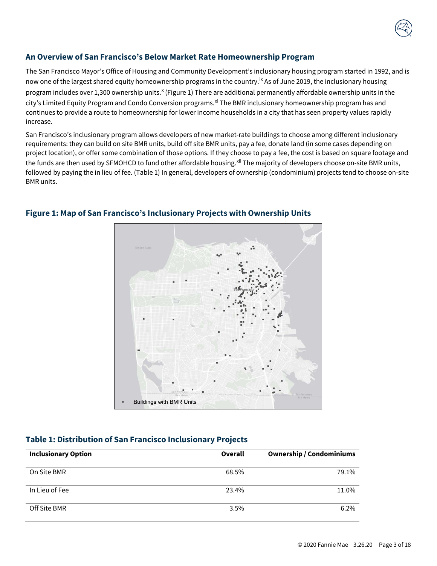## **An Overview of San Francisco's Below Market Rate Homeownership Program**

The San Francisco Mayor's Office of Housing and Community Development's inclusionary housing program started in 1992, and is now one of the largest shared equity homeownership programs in the country.<sup>[ix](#page-16-8)</sup> As of June 2019, the inclusionary housing program includes over 1,300 ownership units.<sup>[x](#page-16-9)</sup> (Figure 1) There are additional permanently affordable ownership units in the city's Limited Equity Program and Condo Conversion programs.<sup>[xi](#page-16-10)</sup> The BMR inclusionary homeownership program has and continues to provide a route to homeownership for lower income households in a city that has seen property values rapidly increase.

San Francisco's inclusionary program allows developers of new market-rate buildings to choose among different inclusionary requirements: they can build on site BMR units, build off site BMR units, pay a fee, donate land (in some cases depending on project location), or offer some combination of those options. If they choose to pay a fee, the cost is based on square footage and the funds are then used by SFMOHCD to fund other affordable housing.<sup>[xii](#page-16-11)</sup> The majority of developers choose on-site BMR units, followed by paying the in lieu of fee. (Table 1) In general, developers of ownership (condominium) projects tend to choose on-site BMR units.



# **Figure 1: Map of San Francisco's Inclusionary Projects with Ownership Units**

## **Table 1: Distribution of San Francisco Inclusionary Projects**

| <b>Inclusionary Option</b> | Overall | <b>Ownership / Condominiums</b> |
|----------------------------|---------|---------------------------------|
| On Site BMR                | 68.5%   | 79.1%                           |
| In Lieu of Fee             | 23.4%   | 11.0%                           |
| Off Site BMR               | $3.5\%$ | $6.2\%$                         |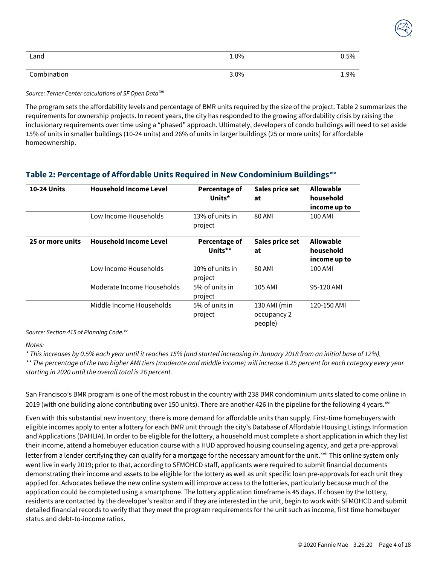| Land        | 1.0% | 0.5% |
|-------------|------|------|
| Combination | 3.0% | 1.9% |

*Source: Terner Center calculations of SF Open Data[xiii](#page-16-12)*

The program sets the affordability levels and percentage of BMR units required by the size of the project. Table 2 summarizes the requirements for ownership projects. In recent years, the city has responded to the growing affordability crisis by raising the inclusionary requirements over time using a "phased" approach. Ultimately, developers of condo buildings will need to set aside 15% of units in smaller buildings (10-24 units) and 26% of units in larger buildings (25 or more units) for affordable homeownership.

## **Table 2: Percentage of Affordable Units Required in New Condominium Buildings[xiv](#page-16-13)**

| <b>10-24 Units</b> | <b>Household Income Level</b> | Percentage of<br>Units*         | Sales price set<br>at                  | <b>Allowable</b><br>household<br>income up to |
|--------------------|-------------------------------|---------------------------------|----------------------------------------|-----------------------------------------------|
|                    | Low Income Households         | 13% of units in<br>project      | 80 AMI                                 | 100 AMI                                       |
| 25 or more units   | <b>Household Income Level</b> | <b>Percentage of</b><br>Units** | Sales price set<br>at                  | <b>Allowable</b><br>household<br>income up to |
|                    | Low Income Households         | 10% of units in<br>project      | 80 AMI                                 | 100 AMI                                       |
|                    | Moderate Income Households    | 5% of units in<br>project       | 105 AMI                                | 95-120 AMI                                    |
|                    | Middle Income Households      | 5% of units in<br>project       | 130 AMI (min<br>occupancy 2<br>people) | 120-150 AMI                                   |

*Source: Section 415 of Planning Code.[xv](#page-16-14)*

*Notes:* 

*\* This increases by 0.5% each year until it reaches 15% (and started increasing in January 2018 from an initial base of 12%).*

*\*\* The percentage of the two higher AMI tiers (moderate and middle income) will increase 0.25 percent for each category every year starting in 2020 until the overall total is 26 percent.*

San Francisco's BMR program is one of the most robust in the country with 238 BMR condominium units slated to come online in 2019 (with one building alone contributing over 150 units). There are another 426 in the pipeline for the following 4 years.<sup>[xvi](#page-17-0)</sup>

Even with this substantial new inventory, there is more demand for affordable units than supply. First-time homebuyers with eligible incomes apply to enter a lottery for each BMR unit through the city's Database of Affordable Housing Listings Information and Applications (DAHLIA). In order to be eligible for the lottery, a household must complete a short application in which they list their income, attend a homebuyer education course with a HUD approved housing counseling agency, and get a pre-approval letter from a lender certifying they can qualify for a mortgage for the necessary amount for the unit.<sup>[xvii](#page-17-1)</sup> This online system only went live in early 2019; prior to that, according to SFMOHCD staff, applicants were required to submit financial documents demonstrating their income and assets to be eligible for the lottery as well as unit specific loan pre-approvals for each unit they applied for. Advocates believe the new online system will improve access to the lotteries, particularly because much of the application could be completed using a smartphone. The lottery application timeframe is 45 days. If chosen by the lottery, residents are contacted by the developer's realtor and if they are interested in the unit, begin to work with SFMOHCD and submit detailed financial records to verify that they meet the program requirements for the unit such as income, first time homebuyer status and debt-to-income ratios.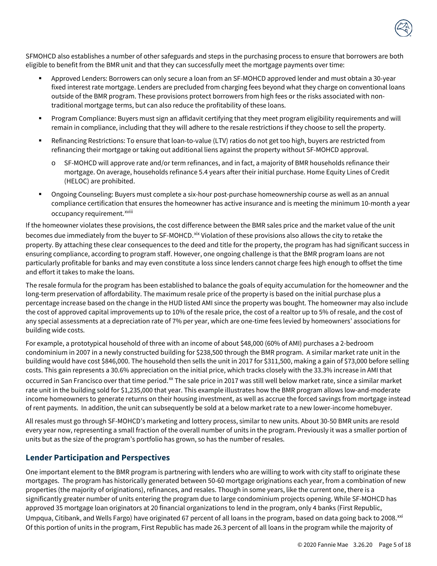

SFMOHCD also establishes a number of other safeguards and steps in the purchasing process to ensure that borrowers are both eligible to benefit from the BMR unit and that they can successfully meet the mortgage payments over time:

- Approved Lenders: Borrowers can only secure a loan from an SF-MOHCD approved lender and must obtain a 30-year fixed interest rate mortgage. Lenders are precluded from charging fees beyond what they charge on conventional loans outside of the BMR program. These provisions protect borrowers from high fees or the risks associated with nontraditional mortgage terms, but can also reduce the profitability of these loans.
- Program Compliance: Buyers must sign an affidavit certifying that they meet program eligibility requirements and will remain in compliance, including that they will adhere to the resale restrictions if they choose to sell the property.
- Refinancing Restrictions: To ensure that loan-to-value (LTV) ratios do not get too high, buyers are restricted from refinancing their mortgage or taking out additional liens against the property without SF-MOHCD approval.
	- o SF-MOHCD will approve rate and/or term refinances, and in fact, a majority of BMR households refinance their mortgage. On average, households refinance 5.4 years after their initial purchase. Home Equity Lines of Credit (HELOC) are prohibited.
- Ongoing Counseling: Buyers must complete a six-hour post-purchase homeownership course as well as an annual compliance certification that ensures the homeowner has active insurance and is meeting the minimum 10-month a year occupancy requ[i](#page-17-2)rement.<sup>xviii</sup>

If the homeowner violates these provisions, the cost difference between the BMR sales price and the market value of the unit becomes due immediately from the buyer to SF-MOHCD.<sup>[xix](#page-17-3)</sup> Violation of these provisions also allows the city to retake the property. By attaching these clear consequences to the deed and title for the property, the program has had significant success in ensuring compliance, according to program staff. However, one ongoing challenge is that the BMR program loans are not particularly profitable for banks and may even constitute a loss since lenders cannot charge fees high enough to offset the time and effort it takes to make the loans.

The resale formula for the program has been established to balance the goals of equity accumulation for the homeowner and the long-term preservation of affordability. The maximum resale price of the property is based on the initial purchase plus a percentage increase based on the change in the HUD listed AMI since the property was bought. The homeowner may also include the cost of approved capital improvements up to 10% of the resale price, the cost of a realtor up to 5% of resale, and the cost of any special assessments at a depreciation rate of 7% per year, which are one-time fees levied by homeowners' associations for building wide costs.

For example, a prototypical household of three with an income of about \$48,000 (60% of AMI) purchases a 2-bedroom condominium in 2007 in a newly constructed building for \$238,500 through the BMR program. A similar market rate unit in the building would have cost \$846,000. The household then sells the unit in 2017 for \$311,500, making a gain of \$73,000 before selling costs. This gain represents a 30.6% appreciation on the initial price, which tracks closely with the 33.3% increase in AMI that occurred in San Francisco over that time period.<sup>[xx](#page-17-4)</sup> The sale price in 2017 was still well below market rate, since a similar market rate unit in the building sold for \$1,235,000 that year. This example illustrates how the BMR program allows low-and-moderate income homeowners to generate returns on their housing investment, as well as accrue the forced savings from mortgage instead of rent payments. In addition, the unit can subsequently be sold at a below market rate to a new lower-income homebuyer.

All resales must go through SF-MOHCD's marketing and lottery process, similar to new units. About 30-50 BMR units are resold every year now, representing a small fraction of the overall number of units in the program. Previously it was a smaller portion of units but as the size of the program's portfolio has grown, so has the number of resales.

## **Lender Participation and Perspectives**

One important element to the BMR program is partnering with lenders who are willing to work with city staff to originate these mortgages. The program has historically generated between 50-60 mortgage originations each year, from a combination of new properties (the majority of originations), refinances, and resales. Though in some years, like the current one, there is a significantly greater number of units entering the program due to large condominium projects opening. While SF-MOHCD has approved 35 mortgage loan originators at 20 financial organizations to lend in the program, only 4 banks (First Republic, Umpqua, Citibank, and Wells Fargo) have originated 67 percent of all loans in the program, based on data going back to 2008.<sup>[xxi](#page-17-5)</sup> Of this portion of units in the program, First Republic has made 26.3 percent of all loans in the program while the majority of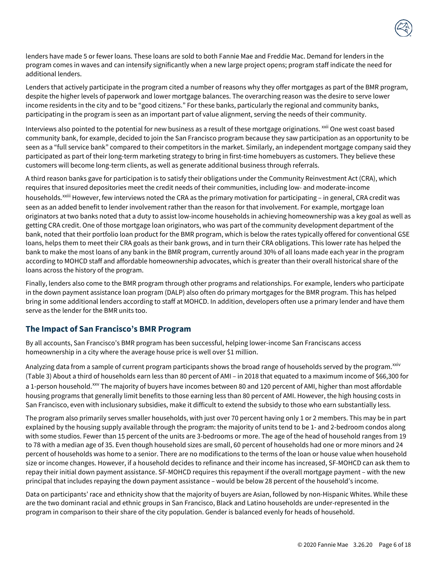

Lenders that actively participate in the program cited a number of reasons why they offer mortgages as part of the BMR program, despite the higher levels of paperwork and lower mortgage balances. The overarching reason was the desire to serve lower income residents in the city and to be "good citizens." For these banks, particularly the regional and community banks, participating in the program is seen as an important part of value alignment, serving the needs of their community.

Interviews also pointed to the potential for new business as a result of these mortgage originations. <sup>[xxii](#page-17-6)</sup> One west coast based community bank, for example, decided to join the San Francisco program because they saw participation as an opportunity to be seen as a "full service bank" compared to their competitors in the market. Similarly, an independent mortgage company said they participated as part of their long-term marketing strategy to bring in first-time homebuyers as customers. They believe these customers will become long-term clients, as well as generate additional business through referrals.

A third reason banks gave for participation is to satisfy their obligations under the Community Reinvestment Act (CRA), which requires that insured depositories meet the credit needs of their communities, including low- and moderate-income

households.<sup>xx[i](#page-17-7)ii</sup> However, few interviews noted the CRA as the primary motivation for participating - in general, CRA credit was seen as an added benefit to lender involvement rather than the reason for that involvement. For example, mortgage loan originators at two banks noted that a duty to assist low-income households in achieving homeownership was a key goal as well as getting CRA credit. One of those mortgage loan originators, who was part of the community development department of the bank, noted that their portfolio loan product for the BMR program, which is below the rates typically offered for conventional GSE loans, helps them to meet their CRA goals as their bank grows, and in turn their CRA obligations. This lower rate has helped the bank to make the most loans of any bank in the BMR program, currently around 30% of all loans made each year in the program according to MOHCD staff and affordable homeownership advocates, which is greater than their overall historical share of the loans across the history of the program.

Finally, lenders also come to the BMR program through other programs and relationships. For example, lenders who participate in the down payment assistance loan program (DALP) also often do primary mortgages for the BMR program. This has helped bring in some additional lenders according to staff at MOHCD. In addition, developers often use a primary lender and have them serve as the lender for the BMR units too.

# **The Impact of San Francisco's BMR Program**

By all accounts, San Francisco's BMR program has been successful, helping lower-income San Franciscans access homeownership in a city where the average house price is well over \$1 million.

Analyzing data from a sample of current program participants shows the broad range of households served by the program. XXIV (Table 3) About a third of households earn less than 80 percent of AMI – in 2018 that equated to a maximum income of \$66,300 for a 1-person household.<sup>[xxv](#page-17-9)</sup> The majority of buyers have incomes between 80 and 120 percent of AMI, higher than most affordable housing programs that generally limit benefits to those earning less than 80 percent of AMI. However, the high housing costs in San Francisco, even with inclusionary subsidies, make it difficult to extend the subsidy to those who earn substantially less.

The program also primarily serves smaller households, with just over 70 percent having only 1 or 2 members. This may be in part explained by the housing supply available through the program: the majority of units tend to be 1- and 2-bedroom condos along with some studios. Fewer than 15 percent of the units are 3-bedrooms or more. The age of the head of household ranges from 19 to 78 with a median age of 35. Even though household sizes are small, 60 percent of households had one or more minors and 24 percent of households was home to a senior. There are no modifications to the terms of the loan or house value when household size or income changes. However, if a household decides to refinance and their income has increased, SF-MOHCD can ask them to repay their initial down payment assistance. SF-MOHCD requires this repayment if the overall mortgage payment – with the new principal that includes repaying the down payment assistance – would be below 28 percent of the household's income.

Data on participants' race and ethnicity show that the majority of buyers are Asian, followed by non-Hispanic Whites. While these are the two dominant racial and ethnic groups in San Francisco, Black and Latino households are under-represented in the program in comparison to their share of the city population. Gender is balanced evenly for heads of household.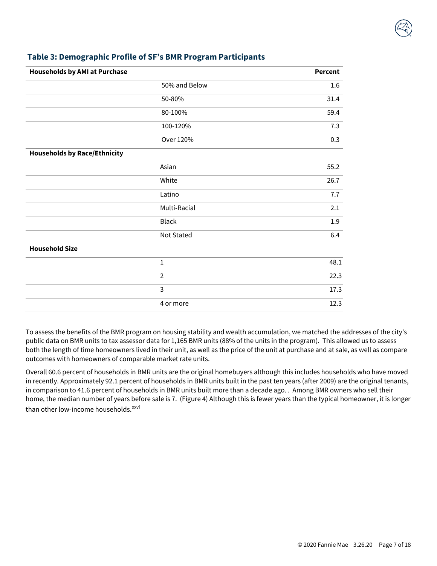| <b>Households by AMI at Purchase</b> |                | <b>Percent</b> |
|--------------------------------------|----------------|----------------|
|                                      | 50% and Below  | 1.6            |
|                                      | 50-80%         | 31.4           |
|                                      | 80-100%        | 59.4           |
|                                      | 100-120%       | 7.3            |
|                                      | Over 120%      | 0.3            |
| <b>Households by Race/Ethnicity</b>  |                |                |
|                                      | Asian          | 55.2           |
|                                      | White          | 26.7           |
|                                      | Latino         | 7.7            |
|                                      | Multi-Racial   | 2.1            |
|                                      | <b>Black</b>   | 1.9            |
|                                      | Not Stated     | 6.4            |
| <b>Household Size</b>                |                |                |
|                                      | $\mathbf 1$    | 48.1           |
|                                      | $\overline{2}$ | 22.3           |
|                                      | 3              | 17.3           |
|                                      | 4 or more      | 12.3           |

# **Table 3: Demographic Profile of SF's BMR Program Participants**

To assess the benefits of the BMR program on housing stability and wealth accumulation, we matched the addresses of the city's public data on BMR units to tax assessor data for 1,165 BMR units (88% of the units in the program). This allowed us to assess both the length of time homeowners lived in their unit, as well as the price of the unit at purchase and at sale, as well as compare outcomes with homeowners of comparable market rate units.

Overall 60.6 percent of households in BMR units are the original homebuyers although this includes households who have moved in recently. Approximately 92.1 percent of households in BMR units built in the past ten years (after 2009) are the original tenants, in comparison to 41.6 percent of households in BMR units built more than a decade ago. . Among BMR owners who sell their home, the median number of years before sale is 7. (Figure 4) Although this is fewer years than the typical homeowner, it is longer than other low-income households.<sup>[xxvi](#page-17-10)</sup>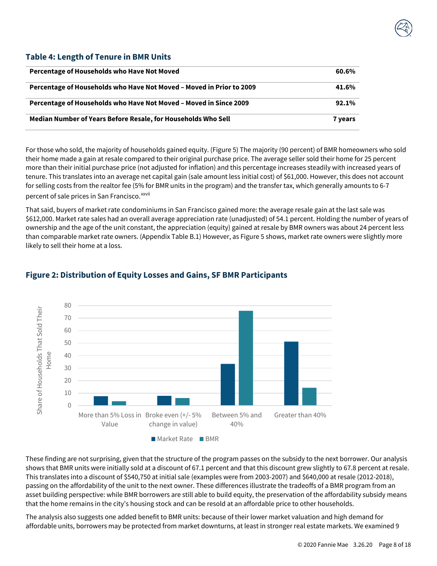## **Table 4: Length of Tenure in BMR Units**

| Percentage of Households who Have Not Moved                          | 60.6%          |
|----------------------------------------------------------------------|----------------|
| Percentage of Households who Have Not Moved - Moved in Prior to 2009 | 41.6%          |
| Percentage of Households who Have Not Moved - Moved in Since 2009    | 92.1%          |
| Median Number of Years Before Resale, for Households Who Sell        | <b>7 years</b> |

For those who sold, the majority of households gained equity. (Figure 5) The majority (90 percent) of BMR homeowners who sold their home made a gain at resale compared to their original purchase price. The average seller sold their home for 25 percent more than their initial purchase price (not adjusted for inflation) and this percentage increases steadily with increased years of tenure. This translates into an average net capital gain (sale amount less initial cost) of \$61,000. However, this does not account for selling costs from the realtor fee (5% for BMR units in the program) and the transfer tax, which generally amounts to 6-7 percent of sale prices in San Francisco.<sup>xxvii</sup>

That said, buyers of market rate condominiums in San Francisco gained more: the average resale gain at the last sale was \$612,000. Market rate sales had an overall average appreciation rate (unadjusted) of 54.1 percent. Holding the number of years of ownership and the age of the unit constant, the appreciation (equity) gained at resale by BMR owners was about 24 percent less than comparable market rate owners. (Appendix Table B.1) However, as Figure 5 shows, market rate owners were slightly more likely to sell their home at a loss.



# **Figure 2: Distribution of Equity Losses and Gains, SF BMR Participants**

These finding are not surprising, given that the structure of the program passes on the subsidy to the next borrower. Our analysis shows that BMR units were initially sold at a discount of 67.1 percent and that this discount grew slightly to 67.8 percent at resale. This translates into a discount of \$540,750 at initial sale (examples were from 2003-2007) and \$640,000 at resale (2012-2018), passing on the affordability of the unit to the next owner. These differences illustrate the tradeoffs of a BMR program from an asset building perspective: while BMR borrowers are still able to build equity, the preservation of the affordability subsidy means that the home remains in the city's housing stock and can be resold at an affordable price to other households.

The analysis also suggests one added benefit to BMR units: because of their lower market valuation and high demand for affordable units, borrowers may be protected from market downturns, at least in stronger real estate markets. We examined 9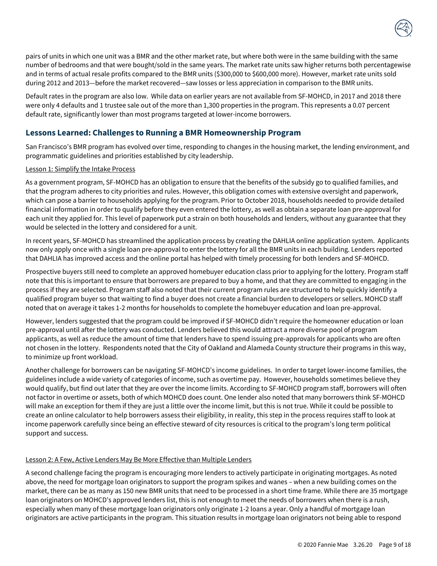

pairs of units in which one unit was a BMR and the other market rate, but where both were in the same building with the same number of bedrooms and that were bought/sold in the same years. The market rate units saw higher returns both percentagewise and in terms of actual resale profits compared to the BMR units (\$300,000 to \$600,000 more). However, market rate units sold during 2012 and 2013—before the market recovered—saw losses or less appreciation in comparison to the BMR units.

Default rates in the program are also low. While data on earlier years are not available from SF-MOHCD, in 2017 and 2018 there were only 4 defaults and 1 trustee sale out of the more than 1,300 properties in the program. This represents a 0.07 percent default rate, significantly lower than most programs targeted at lower-income borrowers.

## **Lessons Learned: Challenges to Running a BMR Homeownership Program**

San Francisco's BMR program has evolved over time, responding to changes in the housing market, the lending environment, and programmatic guidelines and priorities established by city leadership.

#### Lesson 1: Simplify the Intake Process

As a government program, SF-MOHCD has an obligation to ensure that the benefits of the subsidy go to qualified families, and that the program adheres to city priorities and rules. However, this obligation comes with extensive oversight and paperwork, which can pose a barrier to households applying for the program. Prior to October 2018, households needed to provide detailed financial information in order to qualify before they even entered the lottery, as well as obtain a separate loan pre-approval for each unit they applied for. This level of paperwork put a strain on both households and lenders, without any guarantee that they would be selected in the lottery and considered for a unit.

In recent years, SF-MOHCD has streamlined the application process by creating the DAHLIA online application system. Applicants now only apply once with a single loan pre-approval to enter the lottery for all the BMR units in each building. Lenders reported that DAHLIA has improved access and the online portal has helped with timely processing for both lenders and SF-MOHCD.

Prospective buyers still need to complete an approved homebuyer education class prior to applying for the lottery. Program staff note that this is important to ensure that borrowers are prepared to buy a home, and that they are committed to engaging in the process if they are selected. Program staff also noted that their current program rules are structured to help quickly identify a qualified program buyer so that waiting to find a buyer does not create a financial burden to developers or sellers. MOHCD staff noted that on average it takes 1-2 months for households to complete the homebuyer education and loan pre-approval.

However, lenders suggested that the program could be improved if SF-MOHCD didn't require the homeowner education or loan pre-approval until after the lottery was conducted. Lenders believed this would attract a more diverse pool of program applicants, as well as reduce the amount of time that lenders have to spend issuing pre-approvals for applicants who are often not chosen in the lottery. Respondents noted that the City of Oakland and Alameda County structure their programs in this way, to minimize up front workload.

Another challenge for borrowers can be navigating SF-MOHCD's income guidelines. In order to target lower-income families, the guidelines include a wide variety of categories of income, such as overtime pay. However, households sometimes believe they would qualify, but find out later that they are over the income limits. According to SF-MOHCD program staff, borrowers will often not factor in overtime or assets, both of which MOHCD does count. One lender also noted that many borrowers think SF-MOHCD will make an exception for them if they are just a little over the income limit, but this is not true. While it could be possible to create an online calculator to help borrowers assess their eligibility, in reality, this step in the process requires staff to look at income paperwork carefully since being an effective steward of city resources is critical to the program's long term political support and success.

#### Lesson 2: A Few, Active Lenders May Be More Effective than Multiple Lenders

A second challenge facing the program is encouraging more lenders to actively participate in originating mortgages. As noted above, the need for mortgage loan originators to support the program spikes and wanes – when a new building comes on the market, there can be as many as 150 new BMR units that need to be processed in a short time frame. While there are 35 mortgage loan originators on MOHCD's approved lenders list, this is not enough to meet the needs of borrowers when there is a rush, especially when many of these mortgage loan originators only originate 1-2 loans a year. Only a handful of mortgage loan originators are active participants in the program. This situation results in mortgage loan originators not being able to respond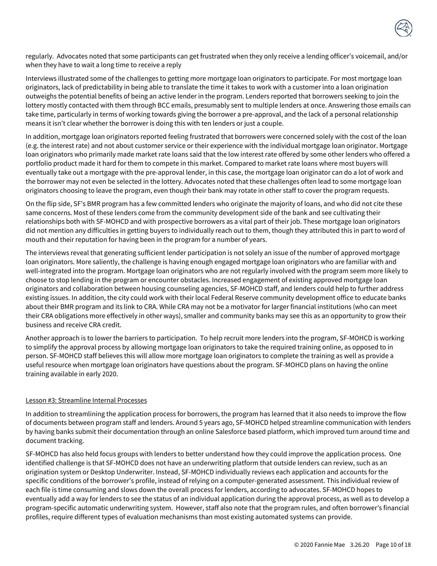

regularly. Advocates noted that some participants can get frustrated when they only receive a lending officer's voicemail, and/or when they have to wait a long time to receive a reply

Interviews illustrated some of the challenges to getting more mortgage loan originators to participate. For most mortgage loan originators, lack of predictability in being able to translate the time it takes to work with a customer into a loan origination outweighs the potential benefits of being an active lender in the program. Lenders reported that borrowers seeking to join the lottery mostly contacted with them through BCC emails, presumably sent to multiple lenders at once. Answering those emails can take time, particularly in terms of working towards giving the borrower a pre-approval, and the lack of a personal relationship means it isn't clear whether the borrower is doing this with ten lenders or just a couple.

In addition, mortgage loan originators reported feeling frustrated that borrowers were concerned solely with the cost of the loan (e.g. the interest rate) and not about customer service or their experience with the individual mortgage loan originator. Mortgage loan originators who primarily made market rate loans said that the low interest rate offered by some other lenders who offered a portfolio product made it hard for them to compete in this market. Compared to market rate loans where most buyers will eventually take out a mortgage with the pre-approval lender, in this case, the mortgage loan originator can do a lot of work and the borrower may not even be selected in the lottery. Advocates noted that these challenges often lead to some mortgage loan originators choosing to leave the program, even though their bank may rotate in other staff to cover the program requests.

On the flip side, SF's BMR program has a few committed lenders who originate the majority of loans, and who did not cite these same concerns. Most of these lenders come from the community development side of the bank and see cultivating their relationships both with SF-MOHCD and with prospective borrowers as a vital part of their job. These mortgage loan originators did not mention any difficulties in getting buyers to individually reach out to them, though they attributed this in part to word of mouth and their reputation for having been in the program for a number of years.

The interviews reveal that generating sufficient lender participation is not solely an issue of the number of approved mortgage loan originators. More saliently, the challenge is having enough engaged mortgage loan originators who are familiar with and well-integrated into the program. Mortgage loan originators who are not regularly involved with the program seem more likely to choose to stop lending in the program or encounter obstacles. Increased engagement of existing approved mortgage loan originators and collaboration between housing counseling agencies, SF-MOHCD staff, and lenders could help to further address existing issues. In addition, the city could work with their local Federal Reserve community development office to educate banks about their BMR program and its link to CRA. While CRA may not be a motivator for larger financial institutions (who can meet their CRA obligations more effectively in other ways), smaller and community banks may see this as an opportunity to grow their business and receive CRA credit.

Another approach is to lower the barriers to participation. To help recruit more lenders into the program, SF-MOHCD is working to simplify the approval process by allowing mortgage loan originators to take the required training online, as opposed to in person. SF-MOHCD staff believes this will allow more mortgage loan originators to complete the training as well as provide a useful resource when mortgage loan originators have questions about the program. SF-MOHCD plans on having the online training available in early 2020.

#### Lesson #3: Streamline Internal Processes

In addition to streamlining the application process for borrowers, the program has learned that it also needs to improve the flow of documents between program staff and lenders. Around 5 years ago, SF-MOHCD helped streamline communication with lenders by having banks submit their documentation through an online Salesforce based platform, which improved turn around time and document tracking.

SF-MOHCD has also held focus groups with lenders to better understand how they could improve the application process. One identified challenge is that SF-MOHCD does not have an underwriting platform that outside lenders can review, such as an origination system or Desktop Underwriter. Instead, SF-MOHCD individually reviews each application and accounts for the specific conditions of the borrower's profile, instead of relying on a computer-generated assessment. This individual review of each file is time consuming and slows down the overall process for lenders, according to advocates. SF-MOHCD hopes to eventually add a way for lenders to see the status of an individual application during the approval process, as well as to develop a program-specific automatic underwriting system. However, staff also note that the program rules, and often borrower's financial profiles, require different types of evaluation mechanisms than most existing automated systems can provide.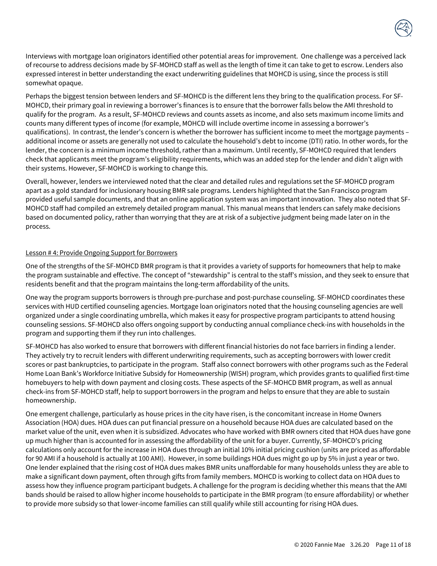

Interviews with mortgage loan originators identified other potential areas for improvement. One challenge was a perceived lack of recourse to address decisions made by SF-MOHCD staff as well as the length of time it can take to get to escrow. Lenders also expressed interest in better understanding the exact underwriting guidelines that MOHCD is using, since the process is still somewhat opaque.

Perhaps the biggest tension between lenders and SF-MOHCD is the different lens they bring to the qualification process. For SF-MOHCD, their primary goal in reviewing a borrower's finances is to ensure that the borrower falls below the AMI threshold to qualify for the program. As a result, SF-MOHCD reviews and counts assets as income, and also sets maximum income limits and counts many different types of income (for example, MOHCD will include overtime income in assessing a borrower's qualifications). In contrast, the lender's concern is whether the borrower has sufficient income to meet the mortgage payments – additional income or assets are generally not used to calculate the household's debt to income (DTI) ratio. In other words, for the lender, the concern is a minimum income threshold, rather than a maximum. Until recently, SF-MOHCD required that lenders check that applicants meet the program's eligibility requirements, which was an added step for the lender and didn't align with their systems. However, SF-MOHCD is working to change this.

Overall, however, lenders we interviewed noted that the clear and detailed rules and regulations set the SF-MOHCD program apart as a gold standard for inclusionary housing BMR sale programs. Lenders highlighted that the San Francisco program provided useful sample documents, and that an online application system was an important innovation. They also noted that SF-MOHCD staff had compiled an extremely detailed program manual. This manual means that lenders can safely make decisions based on documented policy, rather than worrying that they are at risk of a subjective judgment being made later on in the process.

#### Lesson # 4: Provide Ongoing Support for Borrowers

One of the strengths of the SF-MOHCD BMR program is that it provides a variety of supports for homeowners that help to make the program sustainable and effective. The concept of "stewardship" is central to the staff's mission, and they seek to ensure that residents benefit and that the program maintains the long-term affordability of the units.

One way the program supports borrowers is through pre-purchase and post-purchase counseling. SF-MOHCD coordinates these services with HUD certified counseling agencies. Mortgage loan originators noted that the housing counseling agencies are well organized under a single coordinating umbrella, which makes it easy for prospective program participants to attend housing counseling sessions. SF-MOHCD also offers ongoing support by conducting annual compliance check-ins with households in the program and supporting them if they run into challenges.

SF-MOHCD has also worked to ensure that borrowers with different financial histories do not face barriers in finding a lender. They actively try to recruit lenders with different underwriting requirements, such as accepting borrowers with lower credit scores or past bankruptcies, to participate in the program. Staff also connect borrowers with other programs such as the Federal Home Loan Bank's Workforce Initiative Subsidy for Homeownership (WISH) program, which provides grants to qualified first-time homebuyers to help with down payment and closing costs. These aspects of the SF-MOHCD BMR program, as well as annual check-ins from SF-MOHCD staff, help to support borrowers in the program and helps to ensure that they are able to sustain homeownership.

One emergent challenge, particularly as house prices in the city have risen, is the concomitant increase in Home Owners Association (HOA) dues. HOA dues can put financial pressure on a household because HOA dues are calculated based on the market value of the unit, even when it is subsidized. Advocates who have worked with BMR owners cited that HOA dues have gone up much higher than is accounted for in assessing the affordability of the unit for a buyer. Currently, SF-MOHCD's pricing calculations only account for the increase in HOA dues through an initial 10% initial pricing cushion (units are priced as affordable for 90 AMI if a household is actually at 100 AMI). However, in some buildings HOA dues might go up by 5% in just a year or two. One lender explained that the rising cost of HOA dues makes BMR units unaffordable for many households unless they are able to make a significant down payment, often through gifts from family members. MOHCD is working to collect data on HOA dues to assess how they influence program participant budgets. A challenge for the program is deciding whether this means that the AMI bands should be raised to allow higher income households to participate in the BMR program (to ensure affordability) or whether to provide more subsidy so that lower-income families can still qualify while still accounting for rising HOA dues.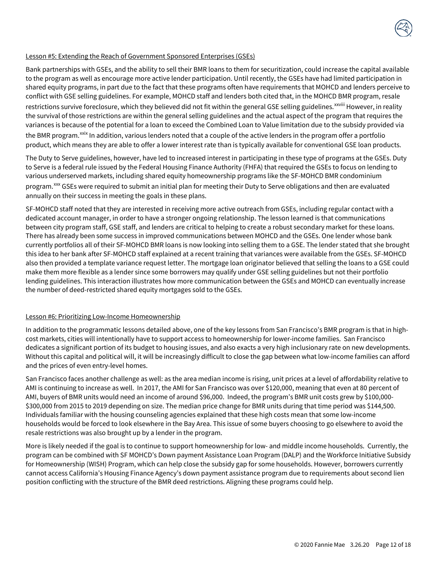#### Lesson #5: Extending the Reach of Government Sponsored Enterprises (GSEs)

Bank partnerships with GSEs, and the ability to sell their BMR loans to them for securitization, could increase the capital available to the program as well as encourage more active lender participation. Until recently, the GSEs have had limited participation in shared equity programs, in part due to the fact that these programs often have requirements that MOHCD and lenders perceive to conflict with GSE selling guidelines. For example, MOHCD staff and lenders both cited that, in the MOHCD BMR program, resale restr[i](#page-17-11)ctions survive foreclosure, which they believed did not fit within the general GSE selling guidelines.<sup>xxviii</sup> However, in reality the survival of those restrictions are within the general selling guidelines and the actual aspect of the program that requires the variances is because of the potential for a loan to exceed the Combined Loan to Value limitation due to the subsidy provided via the BMR program.<sup>[xxix](#page-17-12)</sup> In addition, various lenders noted that a couple of the active lenders in the program offer a portfolio product, which means they are able to offer a lower interest rate than is typically available for conventional GSE loan products.

The Duty to Serve guidelines, however, have led to increased interest in participating in these type of programs at the GSEs. Duty to Serve is a federal rule issued by the Federal Housing Finance Authority (FHFA) that required the GSEs to focus on lending to various underserved markets, including shared equity homeownership programs like the SF-MOHCD BMR condominium program.<sup>[xxx](#page-17-13)</sup> GSEs were required to submit an initial plan for meeting their Duty to Serve obligations and then are evaluated annually on their success in meeting the goals in these plans.

SF-MOHCD staff noted that they are interested in receiving more active outreach from GSEs, including regular contact with a dedicated account manager, in order to have a stronger ongoing relationship. The lesson learned is that communications between city program staff, GSE staff, and lenders are critical to helping to create a robust secondary market for these loans. There has already been some success in improved communications between MOHCD and the GSEs. One lender whose bank currently portfolios all of their SF-MOHCD BMR loans is now looking into selling them to a GSE. The lender stated that she brought this idea to her bank after SF-MOHCD staff explained at a recent training that variances were available from the GSEs. SF-MOHCD also then provided a template variance request letter. The mortgage loan originator believed that selling the loans to a GSE could make them more flexible as a lender since some borrowers may qualify under GSE selling guidelines but not their portfolio lending guidelines. This interaction illustrates how more communication between the GSEs and MOHCD can eventually increase the number of deed-restricted shared equity mortgages sold to the GSEs.

#### Lesson #6: Prioritizing Low-Income Homeownership

In addition to the programmatic lessons detailed above, one of the key lessons from San Francisco's BMR program is that in highcost markets, cities will intentionally have to support access to homeownership for lower-income families. San Francisco dedicates a significant portion of its budget to housing issues, and also exacts a very high inclusionary rate on new developments. Without this capital and political will, it will be increasingly difficult to close the gap between what low-income families can afford and the prices of even entry-level homes.

San Francisco faces another challenge as well: as the area median income is rising, unit prices at a level of affordability relative to AMI is continuing to increase as well. In 2017, the AMI for San Francisco was over \$120,000, meaning that even at 80 percent of AMI, buyers of BMR units would need an income of around \$96,000. Indeed, the program's BMR unit costs grew by \$100,000- \$300,000 from 2015 to 2019 depending on size. The median price change for BMR units during that time period was \$144,500. Individuals familiar with the housing counseling agencies explained that these high costs mean that some low-income households would be forced to look elsewhere in the Bay Area. This issue of some buyers choosing to go elsewhere to avoid the resale restrictions was also brought up by a lender in the program.

More is likely needed if the goal is to continue to support homeownership for low- and middle income households. Currently, the program can be combined with SF MOHCD's Down payment Assistance Loan Program (DALP) and the Workforce Initiative Subsidy for Homeownership (WISH) Program, which can help close the subsidy gap for some households. However, borrowers currently cannot access California's Housing Finance Agency's down payment assistance program due to requirements about second lien position conflicting with the structure of the BMR deed restrictions. Aligning these programs could help.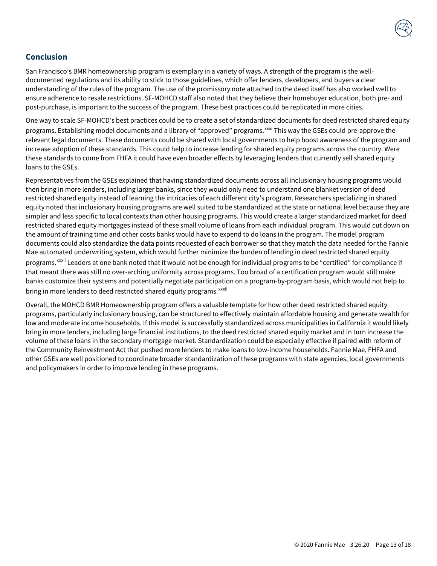

# **Conclusion**

San Francisco's BMR homeownership program is exemplary in a variety of ways. A strength of the program is the welldocumented regulations and its ability to stick to those guidelines, which offer lenders, developers, and buyers a clear understanding of the rules of the program. The use of the promissory note attached to the deed itself has also worked well to ensure adherence to resale restrictions. SF-MOHCD staff also noted that they believe their homebuyer education, both pre- and post-purchase, is important to the success of the program. These best practices could be replicated in more cities.

One way to scale SF-MOHCD's best practices could be to create a set of standardized documents for deed restricted shared equity programs. Establishing model documents and a library of "approved" programs.<sup>[xxxi](#page-17-14)</sup> This way the GSEs could pre-approve the relevant legal documents. These documents could be shared with local governments to help boost awareness of the program and increase adoption of these standards. This could help to increase lending for shared equity programs across the country. Were these standards to come from FHFA it could have even broader effects by leveraging lenders that currently sell shared equity loans to the GSEs.

Representatives from the GSEs explained that having standardized documents across all inclusionary housing programs would then bring in more lenders, including larger banks, since they would only need to understand one blanket version of deed restricted shared equity instead of learning the intricacies of each different city's program. Researchers specializing in shared equity noted that inclusionary housing programs are well suited to be standardized at the state or national level because they are simpler and less specific to local contexts than other housing programs. This would create a larger standardized market for deed restricted shared equity mortgages instead of these small volume of loans from each individual program. This would cut down on the amount of training time and other costs banks would have to expend to do loans in the program. The model program documents could also standardize the data points requested of each borrower so that they match the data needed for the Fannie Mae automated underwriting system, which would further minimize the burden of lending in deed restricted shared equity programs.<sup>xxx[i](#page-17-15)i</sup> Leaders at one bank noted that it would not be enough for individual programs to be "certified" for compliance if bring in more lenders to deed restricted shared equity programs. <sup>xxxiii</sup> that meant there was still no over-arching uniformity across programs. Too broad of a certification program would still make banks customize their systems and potentially negotiate participation on a program-by-program basis, which would not help to

Overall, the MOHCD BMR Homeownership program offers a valuable template for how other deed restricted shared equity programs, particularly inclusionary housing, can be structured to effectively maintain affordable housing and generate wealth for low and moderate income households. If this model is successfully standardized across municipalities in California it would likely bring in more lenders, including large financial institutions, to the deed restricted shared equity market and in turn increase the volume of these loans in the secondary mortgage market. Standardization could be especially effective if paired with reform of the Community Reinvestment Act that pushed more lenders to make loans to low-income households. Fannie Mae, FHFA and other GSEs are well positioned to coordinate broader standardization of these programs with state agencies, local governments and policymakers in order to improve lending in these programs.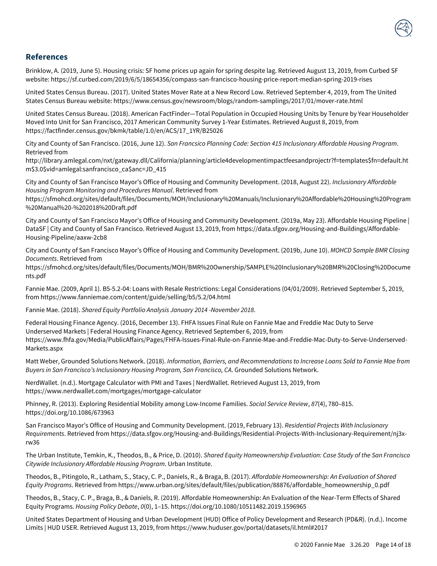

## **References**

Brinklow, A. (2019, June 5). Housing crisis: SF home prices up again for spring despite lag. Retrieved August 13, 2019, from Curbed SF website: https://sf.curbed.com/2019/6/5/18654356/compass-san-francisco-housing-price-report-median-spring-2019-rises

United States Census Bureau. (2017). United States Mover Rate at a New Record Low. Retrieved September 4, 2019, from The United States Census Bureau website: https://www.census.gov/newsroom/blogs/random-samplings/2017/01/mover-rate.html

United States Census Bureau. (2018). American FactFinder—Total Population in Occupied Housing Units by Tenure by Year Householder Moved Into Unit for San Francisco, 2017 American Community Survey 1-Year Estimates. Retrieved August 8, 2019, from https://factfinder.census.gov/bkmk/table/1.0/en/ACS/17\_1YR/B25026

City and County of San Francisco. (2016, June 12). *San Francsico Planning Code: Section 415 Inclusionary Affordable Housing Program*. Retrieved from

http://library.amlegal.com/nxt/gateway.dll/California/planning/article4developmentimpactfeesandprojectr?f=templates\$fn=default.ht m\$3.0\$vid=amlegal:sanfrancisco\_ca\$anc=JD\_415

City and County of San Francisco Mayor's Office of Housing and Community Development. (2018, August 22). *Inclusionary Affordable Housing Program Monitoring and Procedures Manual*. Retrieved from

https://sfmohcd.org/sites/default/files/Documents/MOH/Inclusionary%20Manuals/Inclusionary%20Affordable%20Housing%20Program %20Manual%20-%202018%20Draft.pdf

City and County of San Francisco Mayor's Office of Housing and Community Development. (2019a, May 23). Affordable Housing Pipeline | DataSF | City and County of San Francisco. Retrieved August 13, 2019, from https://data.sfgov.org/Housing-and-Buildings/Affordable-Housing-Pipeline/aaxw-2cb8

City and County of San Francisco Mayor's Office of Housing and Community Development. (2019b, June 10). *MOHCD Sample BMR Closing Documents*. Retrieved from

https://sfmohcd.org/sites/default/files/Documents/MOH/BMR%20Ownership/SAMPLE%20Inclusionary%20BMR%20Closing%20Docume nts.pdf

Fannie Mae. (2009, April 1). B5-5.2-04: Loans with Resale Restrictions: Legal Considerations (04/01/2009). Retrieved September 5, 2019, from https://www.fanniemae.com/content/guide/selling/b5/5.2/04.html

Fannie Mae. (2018). *Shared Equity Portfolio Analysis January 2014 -November 2018*.

Federal Housing Finance Agency. (2016, December 13). FHFA Issues Final Rule on Fannie Mae and Freddie Mac Duty to Serve Underserved Markets | Federal Housing Finance Agency. Retrieved September 6, 2019, from https://www.fhfa.gov/Media/PublicAffairs/Pages/FHFA-Issues-Final-Rule-on-Fannie-Mae-and-Freddie-Mac-Duty-to-Serve-Underserved-Markets.aspx

Matt Weber, Grounded Solutions Network. (2018). *Information, Barriers, and Recommendations to Increase Loans Sold to Fannie Mae from Buyers in San Francisco's Inclusionary Housing Program, San Francisco, CA*. Grounded Solutions Network.

NerdWallet. (n.d.). Mortgage Calculator with PMI and Taxes | NerdWallet. Retrieved August 13, 2019, from https://www.nerdwallet.com/mortgages/mortgage-calculator

Phinney, R. (2013). Exploring Residential Mobility among Low-Income Families. *Social Service Review*, *87*(4), 780–815. https://doi.org/10.1086/673963

San Francisco Mayor's Office of Housing and Community Development. (2019, February 13). *Residential Projects With Inclusionary Requirements*. Retrieved from https://data.sfgov.org/Housing-and-Buildings/Residential-Projects-With-Inclusionary-Requirement/nj3xrw36

The Urban Institute, Temkin, K., Theodos, B., & Price, D. (2010). *Shared Equity Homeownership Evaluation: Case Study of the San Francisco Citywide Inclusionary Affordable Housing Program*. Urban Institute.

Theodos, B., Pitingolo, R., Latham, S., Stacy, C. P., Daniels, R., & Braga, B. (2017). *Affordable Homeownership: An Evaluation of Shared Equity Programs*. Retrieved from https://www.urban.org/sites/default/files/publication/88876/affordable\_homeownership\_0.pdf

Theodos, B., Stacy, C. P., Braga, B., & Daniels, R. (2019). Affordable Homeownership: An Evaluation of the Near-Term Effects of Shared Equity Programs. *Housing Policy Debate*, *0*(0), 1–15. https://doi.org/10.1080/10511482.2019.1596965

United States Department of Housing and Urban Development (HUD) Office of Policy Development and Research (PD&R). (n.d.). Income Limits | HUD USER. Retrieved August 13, 2019, from https://www.huduser.gov/portal/datasets/il.html#2017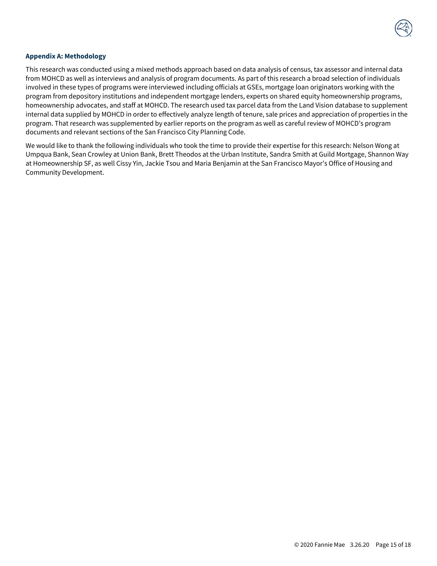

#### **Appendix A: Methodology**

This research was conducted using a mixed methods approach based on data analysis of census, tax assessor and internal data from MOHCD as well as interviews and analysis of program documents. As part of this research a broad selection of individuals involved in these types of programs were interviewed including officials at GSEs, mortgage loan originators working with the program from depository institutions and independent mortgage lenders, experts on shared equity homeownership programs, homeownership advocates, and staff at MOHCD. The research used tax parcel data from the Land Vision database to supplement internal data supplied by MOHCD in order to effectively analyze length of tenure, sale prices and appreciation of properties in the program. That research was supplemented by earlier reports on the program as well as careful review of MOHCD's program documents and relevant sections of the San Francisco City Planning Code.

We would like to thank the following individuals who took the time to provide their expertise for this research: Nelson Wong at Umpqua Bank, Sean Crowley at Union Bank, Brett Theodos at the Urban Institute, Sandra Smith at Guild Mortgage, Shannon Way at Homeownership SF, as well Cissy Yin, Jackie Tsou and Maria Benjamin at the San Francisco Mayor's Office of Housing and Community Development.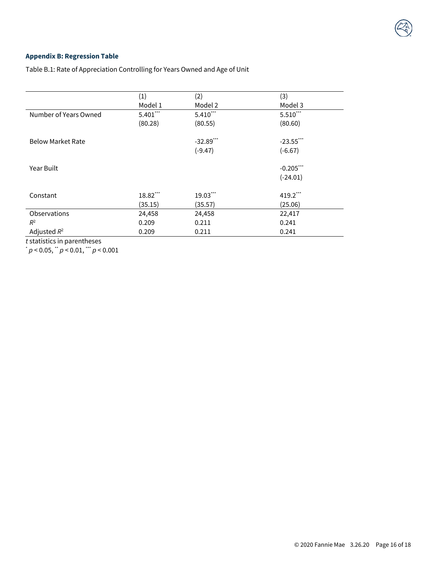# **Appendix B: Regression Table**

Table B.1: Rate of Appreciation Controlling for Years Owned and Age of Unit

|                          | (1)         | (2)          | (3)          |
|--------------------------|-------------|--------------|--------------|
|                          | Model 1     | Model 2      | Model 3      |
| Number of Years Owned    | $5.401$ *** | $5.410$ ***  | $5.510***$   |
|                          | (80.28)     | (80.55)      | (80.60)      |
| <b>Below Market Rate</b> |             | $-32.89$ *** | $-23.55$ *** |
|                          |             | $(-9.47)$    | $(-6.67)$    |
| Year Built               |             |              | $-0.205$ *** |
|                          |             |              | $(-24.01)$   |
| Constant                 | 18.82***    | 19.03***     | 419.2***     |
|                          | (35.15)     | (35.57)      | (25.06)      |
| Observations             | 24,458      | 24,458       | 22,417       |
| $R^2$                    | 0.209       | 0.211        | 0.241        |
| Adjusted $R^2$           | 0.209       | 0.211        | 0.241        |

*t* statistics in parentheses

\* *p* < 0.05, \*\* *p* < 0.01, \*\*\* *p* < 0.001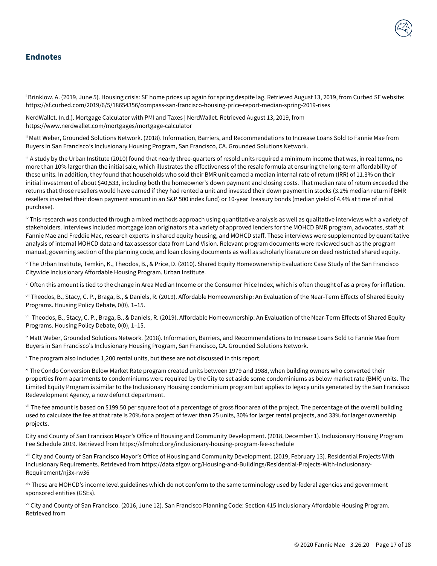# **Endnotes**

<span id="page-16-0"></span><sup>i</sup> Brinklow, A. (2019, June 5). Housing crisis: SF home prices up again for spring despite lag. Retrieved August 13, 2019, from Curbed SF website: https://sf.curbed.com/2019/6/5/18654356/compass-san-francisco-housing-price-report-median-spring-2019-rises

NerdWallet. (n.d.). Mortgage Calculator with PMI and Taxes | NerdWallet. Retrieved August 13, 2019, from https://www.nerdwallet.com/mortgages/mortgage-calculator

<span id="page-16-1"></span>ii Matt Weber, Grounded Solutions Network. (2018). Information, Barriers, and Recommendations to Increase Loans Sold to Fannie Mae from Buyers in San Francisco's Inclusionary Housing Program, San Francisco, CA. Grounded Solutions Network.

<span id="page-16-2"></span>iii A study by the Urban Institute (2010) found that nearly three-quarters of resold units required a minimum income that was, in real terms, no more than 10% larger than the initial sale, which illustrates the effectiveness of the resale formula at ensuring the long-term affordability of these units. In addition, they found that households who sold their BMR unit earned a median internal rate of return (IRR) of 11.3% on their initial investment of about \$40,533, including both the homeowner's down payment and closing costs. That median rate of return exceeded the returns that those resellers would have earned if they had rented a unit and invested their down payment in stocks (3.2% median return if BMR resellers invested their down payment amount in an S&P 500 index fund) or 10-year Treasury bonds (median yield of 4.4% at time of initial purchase).

<span id="page-16-3"></span>iv This research was conducted through a mixed methods approach using quantitative analysis as well as qualitative interviews with a variety of stakeholders. Interviews included mortgage loan originators at a variety of approved lenders for the MOHCD BMR program, advocates, staff at Fannie Mae and Freddie Mac, research experts in shared equity housing, and MOHCD staff. These interviews were supplemented by quantitative analysis of internal MOHCD data and tax assessor data from Land Vision. Relevant program documents were reviewed such as the program manual, governing section of the planning code, and loan closing documents as well as scholarly literature on deed restricted shared equity.

<span id="page-16-4"></span><sup>v</sup> The Urban Institute, Temkin, K., Theodos, B., & Price, D. (2010). Shared Equity Homeownership Evaluation: Case Study of the San Francisco Citywide Inclusionary Affordable Housing Program. Urban Institute.

<span id="page-16-5"></span>vi Often this amount is tied to the change in Area Median Income or the Consumer Price Index, which is often thought of as a proxy for inflation.

<span id="page-16-6"></span>vii Theodos, B., Stacy, C. P., Braga, B., & Daniels, R. (2019). Affordable Homeownership: An Evaluation of the Near-Term Effects of Shared Equity Programs. Housing Policy Debate, 0(0), 1–15.

<span id="page-16-7"></span>viii Theodos, B., Stacy, C. P., Braga, B., & Daniels, R. (2019). Affordable Homeownership: An Evaluation of the Near-Term Effects of Shared Equity Programs. Housing Policy Debate, 0(0), 1–15.

<span id="page-16-8"></span>ix Matt Weber, Grounded Solutions Network. (2018). Information, Barriers, and Recommendations to Increase Loans Sold to Fannie Mae from Buyers in San Francisco's Inclusionary Housing Program, San Francisco, CA. Grounded Solutions Network.

<span id="page-16-9"></span><sup>x</sup> The program also includes 1,200 rental units, but these are not discussed in this report.

<span id="page-16-10"></span>xi The Condo Conversion Below Market Rate program created units between 1979 and 1988, when building owners who converted their properties from apartments to condominiums were required by the City to set aside some condominiums as below market rate (BMR) units. The Limited Equity Program is similar to the Inclusionary Housing condominium program but applies to legacy units generated by the San Francisco Redevelopment Agency, a now defunct department.

<span id="page-16-11"></span>xii The fee amount is based on \$199.50 per square foot of a percentage of gross floor area of the project. The percentage of the overall building used to calculate the fee at that rate is 20% for a project of fewer than 25 units, 30% for larger rental projects, and 33% for larger ownership projects.

City and County of San Francisco Mayor's Office of Housing and Community Development. (2018, December 1). Inclusionary Housing Program Fee Schedule 2019. Retrieved from https://sfmohcd.org/inclusionary-housing-program-fee-schedule

<span id="page-16-12"></span>xiii City and County of San Francisco Mayor's Office of Housing and Community Development. (2019, February 13). Residential Projects With Inclusionary Requirements. Retrieved from https://data.sfgov.org/Housing-and-Buildings/Residential-Projects-With-Inclusionary-Requirement/nj3x-rw36

<span id="page-16-13"></span>xiv These are MOHCD's income level guidelines which do not conform to the same terminology used by federal agencies and government sponsored entities (GSEs).

<span id="page-16-14"></span>xv City and County of San Francisco. (2016, June 12). San Francisco Planning Code: Section 415 Inclusionary Affordable Housing Program. Retrieved from